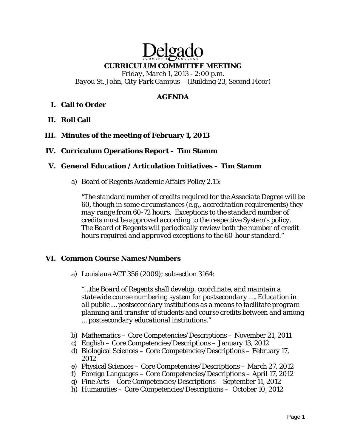# Delga **CURRICULUM COMMITTEE MEETING**

*Friday, March 1, 2013 - 2:00 p.m. Bayou St. John, City Park Campus – (Building 23, Second Floor)* 

## **AGENDA**

# **I. Call to Order**

**II. Roll Call** 

## **III. Minutes of the meeting of February 1, 2013**

## **IV. Curriculum Operations Report – Tim Stamm**

#### **V. General Education / Articulation Initiatives – Tim Stamm**

a) Board of Regents Academic Affairs Policy 2.15:

*"The standard number of credits required for the Associate Degree will be 60, though in some circumstances (e.g., accreditation requirements) they may range from 60-72 hours. Exceptions to the standard number of credits must be approved according to the respective System's policy. The Board of Regents will periodically review both the number of credit hours required and approved exceptions to the 60-hour standard."*

#### **VI. Common Course Names/Numbers**

a) Louisiana ACT 356 (2009); subsection 3164:

*"…the Board of Regents shall develop, coordinate, and maintain a statewide course numbering system for postsecondary …. Education in all public … postsecondary institutions as a means to facilitate program planning and transfer of students and course credits between and among … postsecondary educational institutions."* 

- b) Mathematics Core Competencies/Descriptions November 21, 2011
- c) English Core Competencies/Descriptions January 13, 2012
- d) Biological Sciences Core Competencies/Descriptions February 17, 2012
- e) Physical Sciences Core Competencies/Descriptions March 27, 2012
- f) Foreign Languages Core Competencies/Descriptions April 17, 2012
- g) Fine Arts Core Competencies/Descriptions September 11, 2012
- h) Humanities Core Competencies/Descriptions October 10, 2012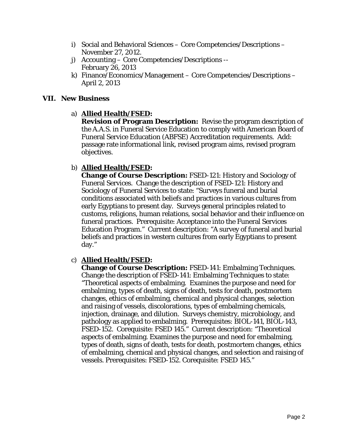- i) Social and Behavioral Sciences Core Competencies/Descriptions November 27, 2012.
- j) Accounting Core Competencies/Descriptions -- February 26, 2013
- k) Finance/Economics/Management Core Competencies/Descriptions April 2, 2013

## **VII. New Business**

## a) **Allied Health/FSED:**

**Revision of Program Description:** Revise the program description of the A.A.S. in Funeral Service Education to comply with American Board of Funeral Service Education (ABFSE) Accreditation requirements. Add: passage rate informational link, revised program aims, revised program objectives.

# b) **Allied Health/FSED:**

**Change of Course Description:** FSED-121: History and Sociology of Funeral Services. Change the description of FSED-121: History and Sociology of Funeral Services to state: "Surveys funeral and burial conditions associated with beliefs and practices in various cultures from early Egyptians to present day. Surveys general principles related to customs, religions, human relations, social behavior and their influence on funeral practices. Prerequisite: Acceptance into the Funeral Services Education Program." Current description: "A survey of funeral and burial beliefs and practices in western cultures from early Egyptians to present day."

# c) **Allied Health/FSED:**

**Change of Course Description:** FSED-141: Embalming Techniques. Change the description of FSED-141: Embalming Techniques to state: "Theoretical aspects of embalming. Examines the purpose and need for embalming, types of death, signs of death, tests for death, postmortem changes, ethics of embalming, chemical and physical changes, selection and raising of vessels, discolorations, types of embalming chemicals, injection, drainage, and dilution. Surveys chemistry, microbiology, and pathology as applied to embalming. Prerequisites: BIOL-141, BIOL-143, FSED-152. Corequisite: FSED 145." Current description: "Theoretical aspects of embalming. Examines the purpose and need for embalming, types of death, signs of death, tests for death, postmortem changes, ethics of embalming, chemical and physical changes, and selection and raising of vessels. Prerequisites: FSED-152. Corequisite: FSED 145."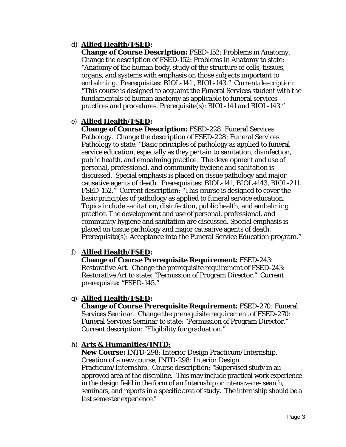# d) **Allied Health/FSED:**

**Change of Course Description:** FSED-152: Problems in Anatomy. Change the description of FSED-152: Problems in Anatomy to state: "Anatomy of the human body, study of the structure of cells, tissues, organs, and systems with emphasis on those subjects important to embalming. Prerequisites: BIOL-141 , BIOL-143." Current description: "This course is designed to acquaint the Funeral Services student with the fundamentals of human anatomy as applicable to funeral services practices and procedures. Prerequisite(s): BIOL-141 and BIOL-143."

## e) **Allied Health/FSED:**

**Change of Course Description:** FSED-228: Funeral Services Pathology. Change the description of FSED-228: Funeral Services Pathology to state: "Basic principles of pathology as applied to funeral service education, especially as they pertain to sanitation, disinfection, public health, and embalming practice. The development and use of personal, professional, and community hygiene and sanitation is discussed. Special emphasis is placed on tissue pathology and major causative agents of death. Prerequisites: BIOL-141, BIOL+143, BIOL-211, FSED-152." Current description: "This course is designed to cover the basic principles of pathology as applied to funeral service education. Topics include sanitation, disinfection, public health, and embalming practice. The development and use of personal, professional, and community hygiene and sanitation are discussed. Special emphasis is placed on tissue pathology and major causative agents of death. Prerequisite(s): Acceptance into the Funeral Service Education program."

# f) **Allied Health/FSED:**

**Change of Course Prerequisite Requirement:** FSED-243: Restorative Art. Change the prerequisite requirement of FSED-243: Restorative Art to state: "Permission of Program Director." Current prerequisite: "FSED-145."

## g) **Allied Health/FSED:**

**Change of Course Prerequisite Requirement:** FSED-270: Funeral Services Seminar. Change the prerequisite requirement of FSED-270: Funeral Services Seminar to state: "Permission of Program Director." Current description: "Eligibility for graduation."

## h) **Arts & Humanities/INTD:**

**New Course:** INTD-298: Interior Design Practicum/Internship. Creation of a new course, INTD-298: Interior Design Practicum/Internship. Course description: "Supervised study in an approved area of the discipline. This may include practical work experience in the design field in the form of an Internship or intensive re- search, seminars, and reports in a specific area of study. The internship should be a last semester experience."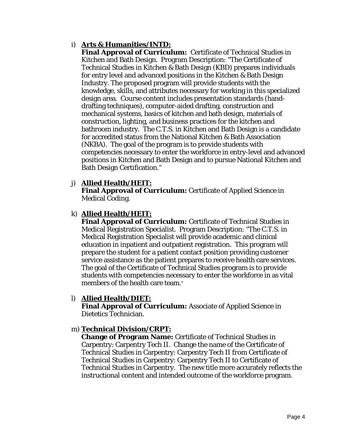# i) **Arts & Humanities/INTD:**

**Final Approval of Curriculum:** Certificate of Technical Studies in Kitchen and Bath Design. Program Description: "The Certificate of Technical Studies in Kitchen & Bath Design (KBD) prepares individuals for entry level and advanced positions in the Kitchen & Bath Design Industry. The proposed program will provide students with the knowledge, skills, and attributes necessary for working in this specialized design area. Course content includes presentation standards (handdrafting techniques), computer-aided drafting, construction and mechanical systems, basics of kitchen and bath design, materials of construction, lighting, and business practices for the kitchen and bathroom industry. The C.T.S. in Kitchen and Bath Design is a candidate for accredited status from the National Kitchen & Bath Association (NKBA). The goal of the program is to provide students with competencies necessary to enter the workforce in entry-level and advanced positions in Kitchen and Bath Design and to pursue National Kitchen and Bath Design Certification."

## j) **Allied Health/HEIT:**

**Final Approval of Curriculum:** Certificate of Applied Science in Medical Coding.

# k) **Allied Health/HEIT:**

**Final Approval of Curriculum:** Certificate of Technical Studies in Medical Registration Specialist. Program Description: "The C.T.S. in Medical Registration Specialist will provide academic and clinical education in inpatient and outpatient registration. This program will prepare the student for a patient contact position providing customer service assistance as the patient prepares to receive health care services. The goal of the Certificate of Technical Studies program is to provide students with competencies necessary to enter the workforce in as vital members of the health care team."

## l) **Allied Health/DIET:**

**Final Approval of Curriculum:** Associate of Applied Science in Dietetics Technician.

## m) **Technical Division/CRPT:**

**Change of Program Name:** Certificate of Technical Studies in Carpentry: Carpentry Tech II. Change the name of the Certificate of Technical Studies in Carpentry: Carpentry Tech II *from* Certificate of Technical Studies in Carpentry: Carpentry Tech II *to* Certificate of Technical Studies in Carpentry. The new title more accurately reflects the instructional content and intended outcome of the workforce program.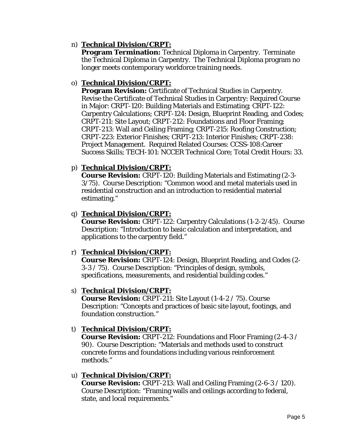## n) **Technical Division/CRPT:**

**Program Termination:** Technical Diploma in Carpentry. Terminate the Technical Diploma in Carpentry. The Technical Diploma program no longer meets contemporary workforce training needs.

## o) **Technical Division/CRPT:**

**Program Revision:** Certificate of Technical Studies in Carpentry. Revise the Certificate of Technical Studies in Carpentry: Required Course in Major: CRPT-120: Building Materials and Estimating; CRPT-122: Carpentry Calculations; CRPT-124: Design, Blueprint Reading, and Codes; CRPT-211: Site Layout; CRPT-212: Foundations and Floor Framing; CRPT-213: Wall and Ceiling Framing; CRPT-215: Roofing Construction; CRPT-223: Exterior Finishes; CRPT-213: Interior Finishes; CRPT-238: Project Management. Required Related Courses: CCSS-108:Career Success Skills; TECH-101: NCCER Technical Core; Total Credit Hours: 33.

## p) **Technical Division/CRPT:**

**Course Revision:** CRPT-120: Building Materials and Estimating (2-3- 3/75). Course Description: "Common wood and metal materials used in residential construction and an introduction to residential material estimating."

## q) **Technical Division/CRPT:**

**Course Revision:** CRPT-122: Carpentry Calculations (1-2-2/45). Course Description: "Introduction to basic calculation and interpretation, and applications to the carpentry field."

## r) **Technical Division/CRPT:**

**Course Revision:** CRPT-124: Design, Blueprint Reading, and Codes (2- 3-3 / 75). Course Description: "Principles of design, symbols, specifications, measurements, and residential building codes."

## s) **Technical Division/CRPT:**

**Course Revision:** CRPT-211: Site Layout (1-4-2 / 75). Course Description: "Concepts and practices of basic site layout, footings, and foundation construction."

## t) **Technical Division/CRPT:**

**Course Revision:** CRPT-212: Foundations and Floor Framing (2-4-3 / 90). Course Description: "Materials and methods used to construct concrete forms and foundations including various reinforcement methods."

## u) **Technical Division/CRPT:**

**Course Revision:** CRPT-213: Wall and Ceiling Framing (2-6-3 / 120). Course Description: "Framing walls and ceilings according to federal, state, and local requirements."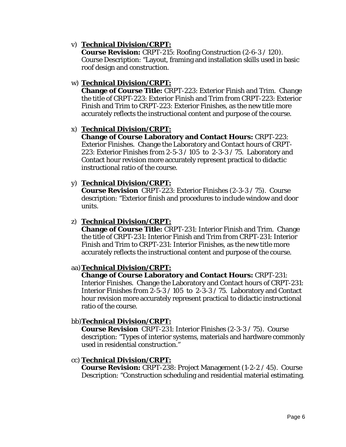## v) **Technical Division/CRPT:**

**Course Revision:** CRPT-215: Roofing Construction (2-6-3 / 120). Course Description: "Layout, framing and installation skills used in basic roof design and construction.

## w) **Technical Division/CRPT:**

**Change of Course Title:** CRPT-223: Exterior Finish and Trim. Change the title of CRPT-223: Exterior Finish and Trim *from* CRPT-223: Exterior Finish and Trim *to* CRPT-223: Exterior Finishes, as the new title more accurately reflects the instructional content and purpose of the course.

## x) **Technical Division/CRPT:**

**Change of Course Laboratory and Contact Hours:** CRPT-223: Exterior Finishes. Change the Laboratory and Contact hours of CRPT-223: Exterior Finishes *from* 2-5-3 / 105 *to* 2-3-3 / 75. Laboratory and Contact hour revision more accurately represent practical to didactic instructional ratio of the course.

## y) **Technical Division/CRPT:**

**Course Revision** CRPT-223: Exterior Finishes (2-3-3 / 75). Course description: "Exterior finish and procedures to include window and door units.

#### z) **Technical Division/CRPT:**

**Change of Course Title:** CRPT-231: Interior Finish and Trim. Change the title of CRPT-231: Interior Finish and Trim *from* CRPT-231: Interior Finish and Trim *to* CRPT-231: Interior Finishes, as the new title more accurately reflects the instructional content and purpose of the course.

## aa)**Technical Division/CRPT:**

**Change of Course Laboratory and Contact Hours:** CRPT-231: Interior Finishes. Change the Laboratory and Contact hours of CRPT-231: Interior Finishes *from* 2-5-3 / 105 *to* 2-3-3 / 75. Laboratory and Contact hour revision more accurately represent practical to didactic instructional ratio of the course.

## bb)**Technical Division/CRPT:**

**Course Revision** CRPT-231: Interior Finishes (2-3-3 / 75). Course description: "Types of interior systems, materials and hardware commonly used in residential construction."

## cc) **Technical Division/CRPT:**

**Course Revision:** CRPT-238: Project Management (1-2-2 / 45). Course Description: "Construction scheduling and residential material estimating.